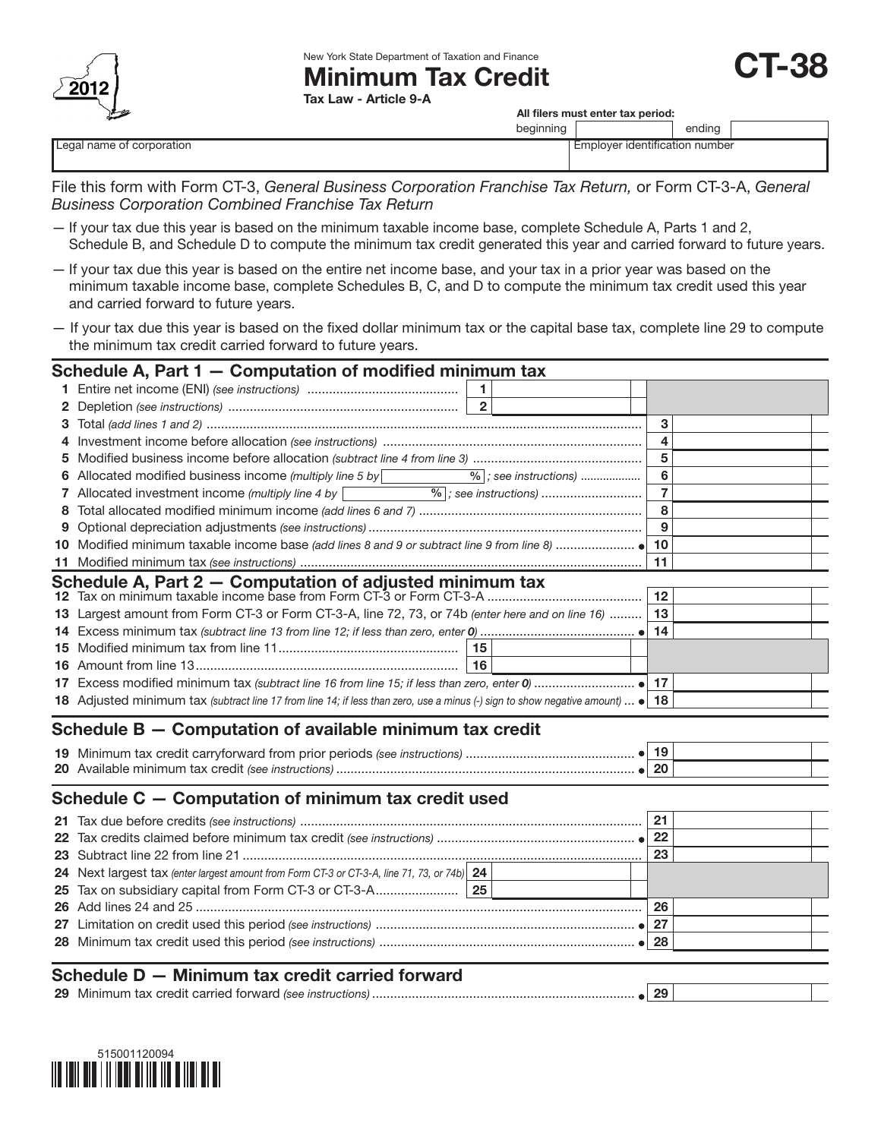

New York State Department of Taxation and Finance

# Minimum Tax Credit

Tax Law - Article 9-A

All filers must enter tax period:

T-38

|                           | beginning |                                | ending |  |
|---------------------------|-----------|--------------------------------|--------|--|
| Legal name of corporation |           | Employer identification number |        |  |
|                           |           |                                |        |  |

File this form with Form CT-3, *General Business Corporation Franchise Tax Return,* or Form CT-3-A, *General Business Corporation Combined Franchise Tax Return*

- If your tax due this year is based on the minimum taxable income base, complete Schedule A, Parts 1 and 2, Schedule B, and Schedule D to compute the minimum tax credit generated this year and carried forward to future years.
- If your tax due this year is based on the entire net income base, and your tax in a prior year was based on the minimum taxable income base, complete Schedules B, C, and D to compute the minimum tax credit used this year and carried forward to future years.
- If your tax due this year is based on the fixed dollar minimum tax or the capital base tax, complete line 29 to compute the minimum tax credit carried forward to future years.

|                                                     | Schedule A, Part 1 - Computation of modified minimum tax                                                                                                                                                                                                                                                             |        |  |  |
|-----------------------------------------------------|----------------------------------------------------------------------------------------------------------------------------------------------------------------------------------------------------------------------------------------------------------------------------------------------------------------------|--------|--|--|
|                                                     |                                                                                                                                                                                                                                                                                                                      |        |  |  |
| $\mathbf{2}$                                        |                                                                                                                                                                                                                                                                                                                      |        |  |  |
| 3.                                                  |                                                                                                                                                                                                                                                                                                                      | 3      |  |  |
|                                                     |                                                                                                                                                                                                                                                                                                                      | 4      |  |  |
| 5                                                   |                                                                                                                                                                                                                                                                                                                      | 5      |  |  |
|                                                     |                                                                                                                                                                                                                                                                                                                      | 6      |  |  |
| 7                                                   | Allocated investment income (multiply line 4 by $\boxed{\phantom{255} \phantom{255} \phantom{255} }$ $\phantom{255}$ $\phantom{255}$ $\phantom{255}$ $\phantom{255}$ $\phantom{255}$ $\phantom{255}$ $\phantom{255}$ $\phantom{255}$ $\phantom{255}$ $\phantom{255}$ $\phantom{255}$ $\phantom{255}$ $\phantom{255}$ | 7      |  |  |
| 8                                                   |                                                                                                                                                                                                                                                                                                                      | 8      |  |  |
|                                                     |                                                                                                                                                                                                                                                                                                                      | 9      |  |  |
|                                                     |                                                                                                                                                                                                                                                                                                                      |        |  |  |
|                                                     |                                                                                                                                                                                                                                                                                                                      | 11     |  |  |
|                                                     |                                                                                                                                                                                                                                                                                                                      |        |  |  |
|                                                     |                                                                                                                                                                                                                                                                                                                      |        |  |  |
|                                                     | 13 Largest amount from Form CT-3 or Form CT-3-A, line 72, 73, or 74b (enter here and on line 16)    13                                                                                                                                                                                                               |        |  |  |
|                                                     |                                                                                                                                                                                                                                                                                                                      |        |  |  |
|                                                     |                                                                                                                                                                                                                                                                                                                      |        |  |  |
|                                                     | 16                                                                                                                                                                                                                                                                                                                   |        |  |  |
|                                                     |                                                                                                                                                                                                                                                                                                                      |        |  |  |
|                                                     | <b>18</b> Adjusted minimum tax (subtract line 17 from line 14; if less than zero, use a minus (-) sign to show negative amount) $\bullet$   <b>18</b>                                                                                                                                                                |        |  |  |
|                                                     | Schedule B - Computation of available minimum tax credit                                                                                                                                                                                                                                                             |        |  |  |
|                                                     |                                                                                                                                                                                                                                                                                                                      |        |  |  |
|                                                     |                                                                                                                                                                                                                                                                                                                      |        |  |  |
| Schedule C – Computation of minimum tax credit used |                                                                                                                                                                                                                                                                                                                      |        |  |  |
|                                                     |                                                                                                                                                                                                                                                                                                                      | 21     |  |  |
|                                                     | $\mathbf{r}$ and $\mathbf{r}$ are the set of the set of the set of the set of the set of the set of the set of the set of the set of the set of the set of the set of the set of the set of the set of the set of the set of the set                                                                                 | $\sim$ |  |  |

| <b>41 EXAMPLE DENSE CITED IN SECTION CONTRACTED CONTRACTED EXAMPLE I</b>                    |    |  |
|---------------------------------------------------------------------------------------------|----|--|
|                                                                                             |    |  |
|                                                                                             | 23 |  |
| 24 Next largest tax (enter largest amount from Form CT-3 or CT-3-A, line 71, 73, or 74b) 24 |    |  |
|                                                                                             |    |  |
|                                                                                             | 26 |  |
|                                                                                             |    |  |
|                                                                                             |    |  |
|                                                                                             |    |  |
| Schedule D - Minimum tax credit carried forward                                             |    |  |

| _______________ |                                                        |    |  |
|-----------------|--------------------------------------------------------|----|--|
| 29              | Ninimum tax credit carried forward (see instructions). | ΖJ |  |